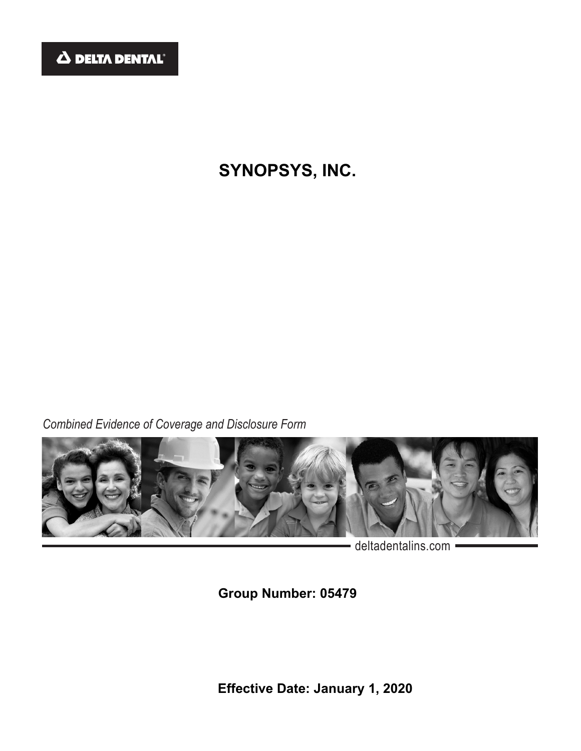

# **SYNOPSYS, INC.**

*Combined Evidence of Coverage and Disclosure Form*



- deltadentalins.com -

**Group Number: 05479** 

**Effective Date: January 1, 2020**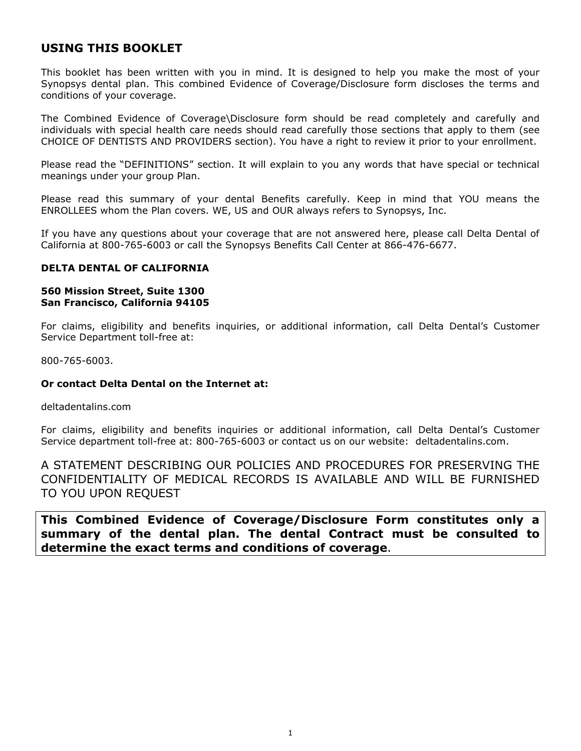# **USING THIS BOOKLET**

This booklet has been written with you in mind. It is designed to help you make the most of your Synopsys dental plan. This combined Evidence of Coverage/Disclosure form discloses the terms and conditions of your coverage.

The Combined Evidence of Coverage\Disclosure form should be read completely and carefully and individuals with special health care needs should read carefully those sections that apply to them (see CHOICE OF DENTISTS AND PROVIDERS section). You have a right to review it prior to your enrollment.

Please read the "DEFINITIONS" section. It will explain to you any words that have special or technical meanings under your group Plan.

Please read this summary of your dental Benefits carefully. Keep in mind that YOU means the ENROLLEES whom the Plan covers. WE, US and OUR always refers to Synopsys, Inc.

If you have any questions about your coverage that are not answered here, please call Delta Dental of California at 800-765-6003 or call the Synopsys Benefits Call Center at 866-476-6677.

### **DELTA DENTAL OF CALIFORNIA**

### **560 Mission Street, Suite 1300 San Francisco, California 94105**

For claims, eligibility and benefits inquiries, or additional information, call Delta Dental's Customer Service Department toll-free at:

800-765-6003.

### **Or contact Delta Dental on the Internet at:**

deltadentalins.com

For claims, eligibility and benefits inquiries or additional information, call Delta Dental's Customer Service department toll-free at: 800-765-6003 or contact us on our website: deltadentalins.com.

A STATEMENT DESCRIBING OUR POLICIES AND PROCEDURES FOR PRESERVING THE CONFIDENTIALITY OF MEDICAL RECORDS IS AVAILABLE AND WILL BE FURNISHED TO YOU UPON REQUEST

**This Combined Evidence of Coverage/Disclosure Form constitutes only a summary of the dental plan. The dental Contract must be consulted to determine the exact terms and conditions of coverage**.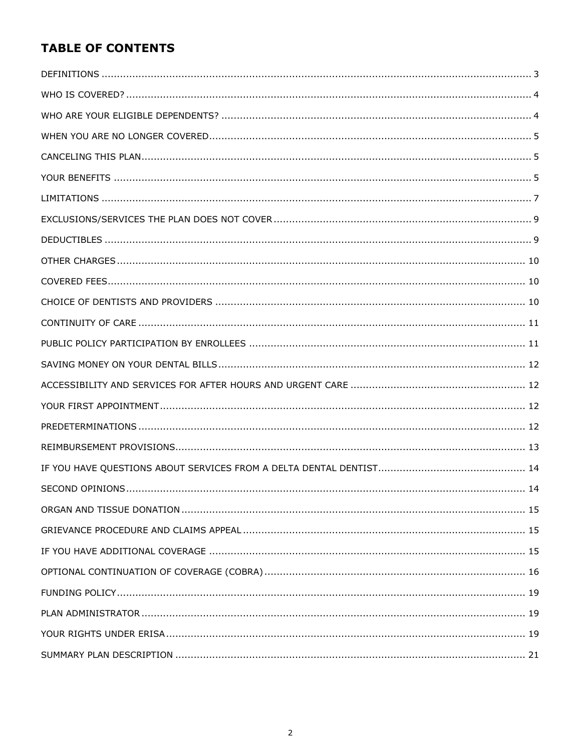# **TABLE OF CONTENTS**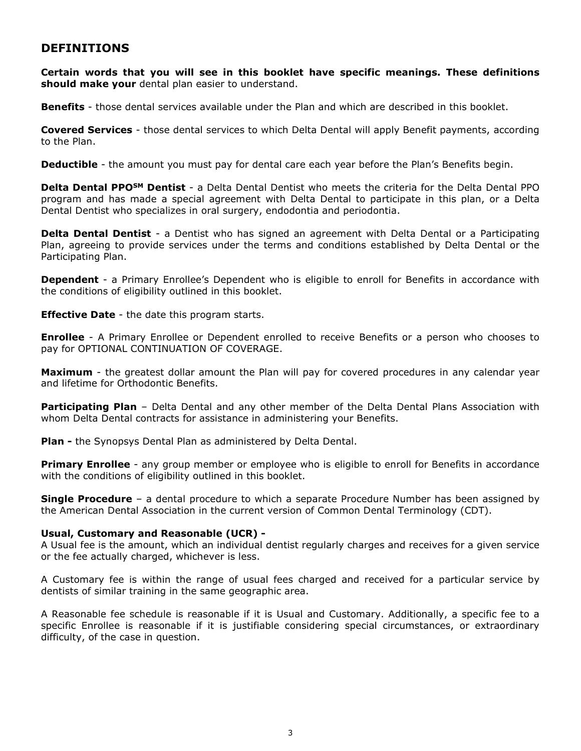# <span id="page-3-0"></span>**DEFINITIONS**

**Certain words that you will see in this booklet have specific meanings. These definitions should make your** dental plan easier to understand.

**Benefits** - those dental services available under the Plan and which are described in this booklet.

**Covered Services** - those dental services to which Delta Dental will apply Benefit payments, according to the Plan.

**Deductible** - the amount you must pay for dental care each year before the Plan's Benefits begin.

**Delta Dental PPOSM Dentist** - a Delta Dental Dentist who meets the criteria for the Delta Dental PPO program and has made a special agreement with Delta Dental to participate in this plan, or a Delta Dental Dentist who specializes in oral surgery, endodontia and periodontia.

**Delta Dental Dentist** - a Dentist who has signed an agreement with Delta Dental or a Participating Plan, agreeing to provide services under the terms and conditions established by Delta Dental or the Participating Plan.

**Dependent** - a Primary Enrollee's Dependent who is eligible to enroll for Benefits in accordance with the conditions of eligibility outlined in this booklet.

**Effective Date** - the date this program starts.

**Enrollee** - A Primary Enrollee or Dependent enrolled to receive Benefits or a person who chooses to pay for OPTIONAL CONTINUATION OF COVERAGE.

**Maximum** - the greatest dollar amount the Plan will pay for covered procedures in any calendar year and lifetime for Orthodontic Benefits.

**Participating Plan** - Delta Dental and any other member of the Delta Dental Plans Association with whom Delta Dental contracts for assistance in administering your Benefits.

**Plan -** the Synopsys Dental Plan as administered by Delta Dental.

**Primary Enrollee** - any group member or employee who is eligible to enroll for Benefits in accordance with the conditions of eligibility outlined in this booklet.

**Single Procedure** – a dental procedure to which a separate Procedure Number has been assigned by the American Dental Association in the current version of Common Dental Terminology (CDT).

#### **Usual, Customary and Reasonable (UCR) -**

A Usual fee is the amount, which an individual dentist regularly charges and receives for a given service or the fee actually charged, whichever is less.

A Customary fee is within the range of usual fees charged and received for a particular service by dentists of similar training in the same geographic area.

A Reasonable fee schedule is reasonable if it is Usual and Customary. Additionally, a specific fee to a specific Enrollee is reasonable if it is justifiable considering special circumstances, or extraordinary difficulty, of the case in question.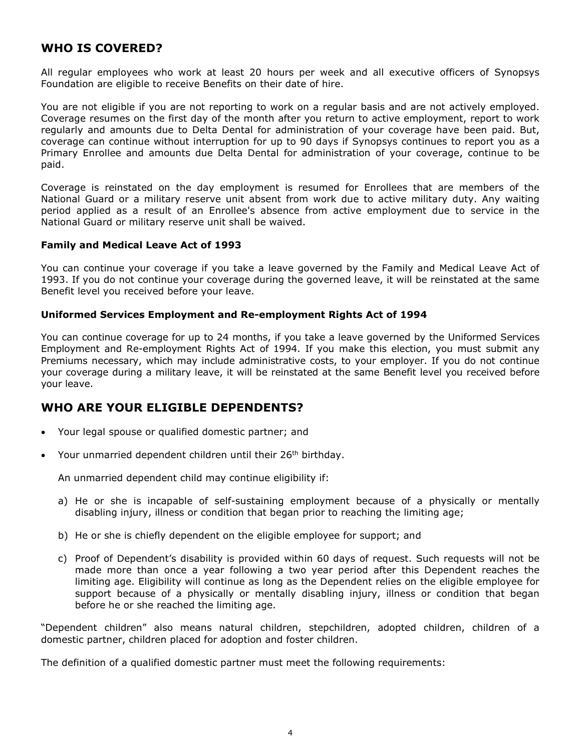# <span id="page-4-0"></span>**WHO IS COVERED?**

All regular employees who work at least 20 hours per week and all executive officers of Synopsys Foundation are eligible to receive Benefits on their date of hire.

You are not eligible if you are not reporting to work on a regular basis and are not actively employed. Coverage resumes on the first day of the month after you return to active employment, report to work regularly and amounts due to Delta Dental for administration of your coverage have been paid. But, coverage can continue without interruption for up to 90 days if Synopsys continues to report you as a Primary Enrollee and amounts due Delta Dental for administration of your coverage, continue to be paid.

Coverage is reinstated on the day employment is resumed for Enrollees that are members of the National Guard or a military reserve unit absent from work due to active military duty. Any waiting period applied as a result of an Enrollee's absence from active employment due to service in the National Guard or military reserve unit shall be waived.

### **Family and Medical Leave Act of 1993**

You can continue your coverage if you take a leave governed by the Family and Medical Leave Act of 1993. If you do not continue your coverage during the governed leave, it will be reinstated at the same Benefit level you received before your leave.

### **Uniformed Services Employment and Re-employment Rights Act of 1994**

You can continue coverage for up to 24 months, if you take a leave governed by the Uniformed Services Employment and Re-employment Rights Act of 1994. If you make this election, you must submit any Premiums necessary, which may include administrative costs, to your employer. If you do not continue your coverage during a military leave, it will be reinstated at the same Benefit level you received before your leave.

# <span id="page-4-1"></span>**WHO ARE YOUR ELIGIBLE DEPENDENTS?**

- Your legal spouse or qualified domestic partner; and
- Your unmarried dependent children until their  $26<sup>th</sup>$  birthday.

An unmarried dependent child may continue eligibility if:

- a) He or she is incapable of self-sustaining employment because of a physically or mentally disabling injury, illness or condition that began prior to reaching the limiting age;
- b) He or she is chiefly dependent on the eligible employee for support; and
- c) Proof of Dependent's disability is provided within 60 days of request. Such requests will not be made more than once a year following a two year period after this Dependent reaches the limiting age. Eligibility will continue as long as the Dependent relies on the eligible employee for support because of a physically or mentally disabling injury, illness or condition that began before he or she reached the limiting age.

"Dependent children" also means natural children, stepchildren, adopted children, children of a domestic partner, children placed for adoption and foster children.

The definition of a qualified domestic partner must meet the following requirements: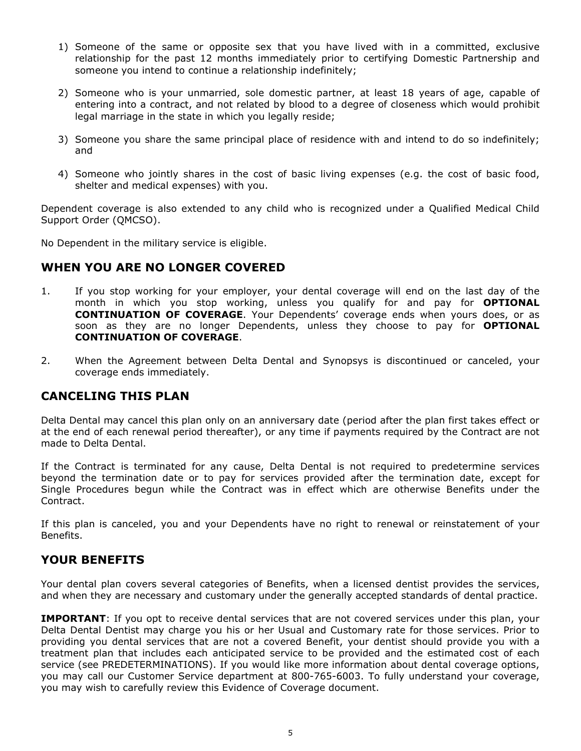- 1) Someone of the same or opposite sex that you have lived with in a committed, exclusive relationship for the past 12 months immediately prior to certifying Domestic Partnership and someone you intend to continue a relationship indefinitely;
- 2) Someone who is your unmarried, sole domestic partner, at least 18 years of age, capable of entering into a contract, and not related by blood to a degree of closeness which would prohibit legal marriage in the state in which you legally reside;
- 3) Someone you share the same principal place of residence with and intend to do so indefinitely; and
- 4) Someone who jointly shares in the cost of basic living expenses (e.g. the cost of basic food, shelter and medical expenses) with you.

Dependent coverage is also extended to any child who is recognized under a Qualified Medical Child Support Order (QMCSO).

No Dependent in the military service is eligible.

# <span id="page-5-0"></span>**WHEN YOU ARE NO LONGER COVERED**

- 1. If you stop working for your employer, your dental coverage will end on the last day of the month in which you stop working, unless you qualify for and pay for **OPTIONAL CONTINUATION OF COVERAGE**. Your Dependents' coverage ends when yours does, or as soon as they are no longer Dependents, unless they choose to pay for **OPTIONAL CONTINUATION OF COVERAGE**.
- 2. When the Agreement between Delta Dental and Synopsys is discontinued or canceled, your coverage ends immediately.

# <span id="page-5-1"></span>**CANCELING THIS PLAN**

Delta Dental may cancel this plan only on an anniversary date (period after the plan first takes effect or at the end of each renewal period thereafter), or any time if payments required by the Contract are not made to Delta Dental.

If the Contract is terminated for any cause, Delta Dental is not required to predetermine services beyond the termination date or to pay for services provided after the termination date, except for Single Procedures begun while the Contract was in effect which are otherwise Benefits under the Contract.

If this plan is canceled, you and your Dependents have no right to renewal or reinstatement of your Benefits.

# <span id="page-5-2"></span>**YOUR BENEFITS**

Your dental plan covers several categories of Benefits, when a licensed dentist provides the services, and when they are necessary and customary under the generally accepted standards of dental practice.

**IMPORTANT**: If you opt to receive dental services that are not covered services under this plan, your Delta Dental Dentist may charge you his or her Usual and Customary rate for those services. Prior to providing you dental services that are not a covered Benefit, your dentist should provide you with a treatment plan that includes each anticipated service to be provided and the estimated cost of each service (see PREDETERMINATIONS). If you would like more information about dental coverage options, you may call our Customer Service department at 800-765-6003. To fully understand your coverage, you may wish to carefully review this Evidence of Coverage document.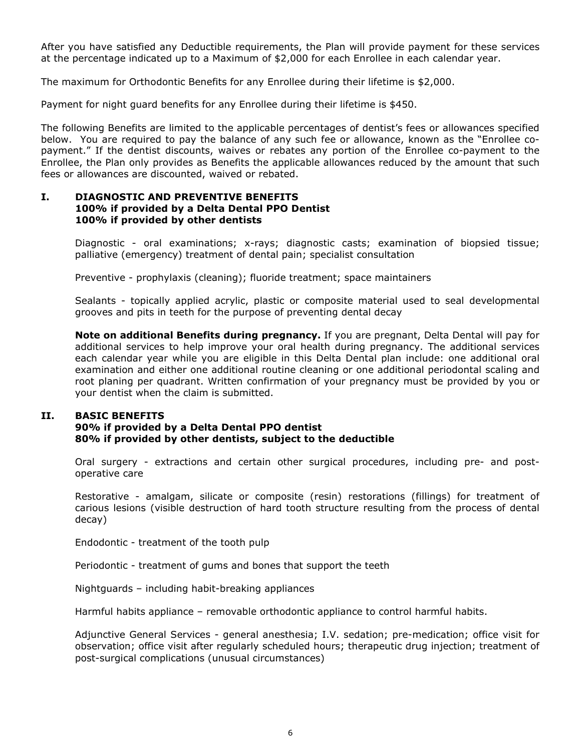After you have satisfied any Deductible requirements, the Plan will provide payment for these services at the percentage indicated up to a Maximum of \$2,000 for each Enrollee in each calendar year.

The maximum for Orthodontic Benefits for any Enrollee during their lifetime is \$2,000.

Payment for night guard benefits for any Enrollee during their lifetime is \$450.

The following Benefits are limited to the applicable percentages of dentist's fees or allowances specified below. You are required to pay the balance of any such fee or allowance, known as the "Enrollee copayment." If the dentist discounts, waives or rebates any portion of the Enrollee co-payment to the Enrollee, the Plan only provides as Benefits the applicable allowances reduced by the amount that such fees or allowances are discounted, waived or rebated.

### **I. DIAGNOSTIC AND PREVENTIVE BENEFITS 100% if provided by a Delta Dental PPO Dentist 100% if provided by other dentists**

Diagnostic - oral examinations; x-rays; diagnostic casts; examination of biopsied tissue; palliative (emergency) treatment of dental pain; specialist consultation

Preventive - prophylaxis (cleaning); fluoride treatment; space maintainers

Sealants - topically applied acrylic, plastic or composite material used to seal developmental grooves and pits in teeth for the purpose of preventing dental decay

**Note on additional Benefits during pregnancy.** If you are pregnant, Delta Dental will pay for additional services to help improve your oral health during pregnancy. The additional services each calendar year while you are eligible in this Delta Dental plan include: one additional oral examination and either one additional routine cleaning or one additional periodontal scaling and root planing per quadrant. Written confirmation of your pregnancy must be provided by you or your dentist when the claim is submitted.

### **II. BASIC BENEFITS**

### **90% if provided by a Delta Dental PPO dentist 80% if provided by other dentists, subject to the deductible**

Oral surgery - extractions and certain other surgical procedures, including pre- and postoperative care

Restorative - amalgam, silicate or composite (resin) restorations (fillings) for treatment of carious lesions (visible destruction of hard tooth structure resulting from the process of dental decay)

Endodontic - treatment of the tooth pulp

Periodontic - treatment of gums and bones that support the teeth

Nightguards – including habit-breaking appliances

Harmful habits appliance – removable orthodontic appliance to control harmful habits.

Adjunctive General Services - general anesthesia; I.V. sedation; pre-medication; office visit for observation; office visit after regularly scheduled hours; therapeutic drug injection; treatment of post-surgical complications (unusual circumstances)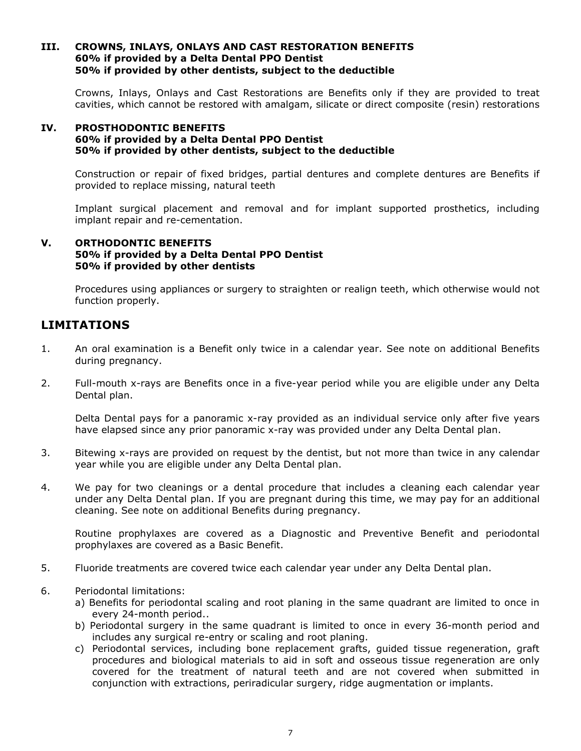### **III. CROWNS, INLAYS, ONLAYS AND CAST RESTORATION BENEFITS 60% if provided by a Delta Dental PPO Dentist 50% if provided by other dentists, subject to the deductible**

Crowns, Inlays, Onlays and Cast Restorations are Benefits only if they are provided to treat cavities, which cannot be restored with amalgam, silicate or direct composite (resin) restorations

### **IV. PROSTHODONTIC BENEFITS 60% if provided by a Delta Dental PPO Dentist 50% if provided by other dentists, subject to the deductible**

Construction or repair of fixed bridges, partial dentures and complete dentures are Benefits if provided to replace missing, natural teeth

Implant surgical placement and removal and for implant supported prosthetics, including implant repair and re-cementation.

### **V. ORTHODONTIC BENEFITS 50% if provided by a Delta Dental PPO Dentist 50% if provided by other dentists**

Procedures using appliances or surgery to straighten or realign teeth, which otherwise would not function properly.

# <span id="page-7-0"></span>**LIMITATIONS**

- 1. An oral examination is a Benefit only twice in a calendar year. See note on additional Benefits during pregnancy.
- 2. Full-mouth x-rays are Benefits once in a five-year period while you are eligible under any Delta Dental plan.

Delta Dental pays for a panoramic x-ray provided as an individual service only after five years have elapsed since any prior panoramic x-ray was provided under any Delta Dental plan.

- 3. Bitewing x-rays are provided on request by the dentist, but not more than twice in any calendar year while you are eligible under any Delta Dental plan.
- 4. We pay for two cleanings or a dental procedure that includes a cleaning each calendar year under any Delta Dental plan. If you are pregnant during this time, we may pay for an additional cleaning. See note on additional Benefits during pregnancy.

Routine prophylaxes are covered as a Diagnostic and Preventive Benefit and periodontal prophylaxes are covered as a Basic Benefit.

- 5. Fluoride treatments are covered twice each calendar year under any Delta Dental plan.
- 6. Periodontal limitations:
	- a) Benefits for periodontal scaling and root planing in the same quadrant are limited to once in every 24-month period..
	- b) Periodontal surgery in the same quadrant is limited to once in every 36-month period and includes any surgical re-entry or scaling and root planing.
	- c) Periodontal services, including bone replacement grafts, guided tissue regeneration, graft procedures and biological materials to aid in soft and osseous tissue regeneration are only covered for the treatment of natural teeth and are not covered when submitted in conjunction with extractions, periradicular surgery, ridge augmentation or implants.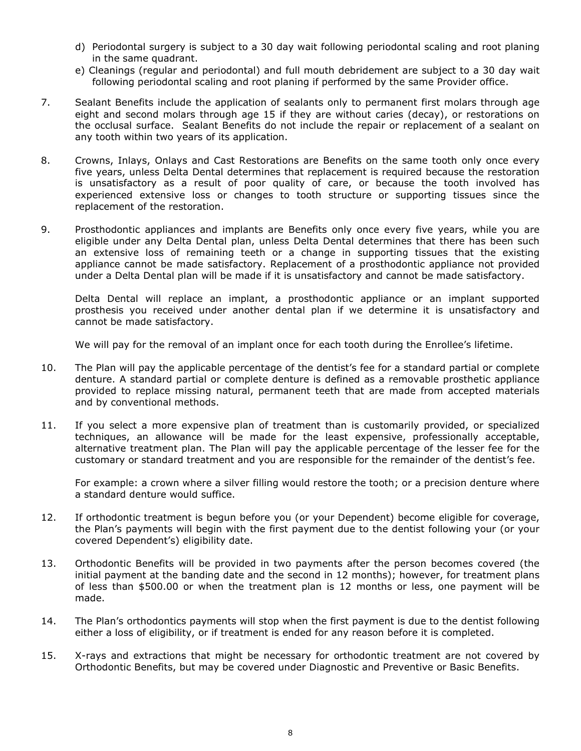- d) Periodontal surgery is subject to a 30 day wait following periodontal scaling and root planing in the same quadrant.
- e) Cleanings (regular and periodontal) and full mouth debridement are subject to a 30 day wait following periodontal scaling and root planing if performed by the same Provider office.
- 7. Sealant Benefits include the application of sealants only to permanent first molars through age eight and second molars through age 15 if they are without caries (decay), or restorations on the occlusal surface. Sealant Benefits do not include the repair or replacement of a sealant on any tooth within two years of its application.
- 8. Crowns, Inlays, Onlays and Cast Restorations are Benefits on the same tooth only once every five years, unless Delta Dental determines that replacement is required because the restoration is unsatisfactory as a result of poor quality of care, or because the tooth involved has experienced extensive loss or changes to tooth structure or supporting tissues since the replacement of the restoration.
- 9. Prosthodontic appliances and implants are Benefits only once every five years, while you are eligible under any Delta Dental plan, unless Delta Dental determines that there has been such an extensive loss of remaining teeth or a change in supporting tissues that the existing appliance cannot be made satisfactory. Replacement of a prosthodontic appliance not provided under a Delta Dental plan will be made if it is unsatisfactory and cannot be made satisfactory.

Delta Dental will replace an implant, a prosthodontic appliance or an implant supported prosthesis you received under another dental plan if we determine it is unsatisfactory and cannot be made satisfactory.

We will pay for the removal of an implant once for each tooth during the Enrollee's lifetime.

- 10. The Plan will pay the applicable percentage of the dentist's fee for a standard partial or complete denture. A standard partial or complete denture is defined as a removable prosthetic appliance provided to replace missing natural, permanent teeth that are made from accepted materials and by conventional methods.
- 11. If you select a more expensive plan of treatment than is customarily provided, or specialized techniques, an allowance will be made for the least expensive, professionally acceptable, alternative treatment plan. The Plan will pay the applicable percentage of the lesser fee for the customary or standard treatment and you are responsible for the remainder of the dentist's fee.

For example: a crown where a silver filling would restore the tooth; or a precision denture where a standard denture would suffice.

- 12. If orthodontic treatment is begun before you (or your Dependent) become eligible for coverage, the Plan's payments will begin with the first payment due to the dentist following your (or your covered Dependent's) eligibility date.
- 13. Orthodontic Benefits will be provided in two payments after the person becomes covered (the initial payment at the banding date and the second in 12 months); however, for treatment plans of less than \$500.00 or when the treatment plan is 12 months or less, one payment will be made.
- 14. The Plan's orthodontics payments will stop when the first payment is due to the dentist following either a loss of eligibility, or if treatment is ended for any reason before it is completed.
- 15. X-rays and extractions that might be necessary for orthodontic treatment are not covered by Orthodontic Benefits, but may be covered under Diagnostic and Preventive or Basic Benefits.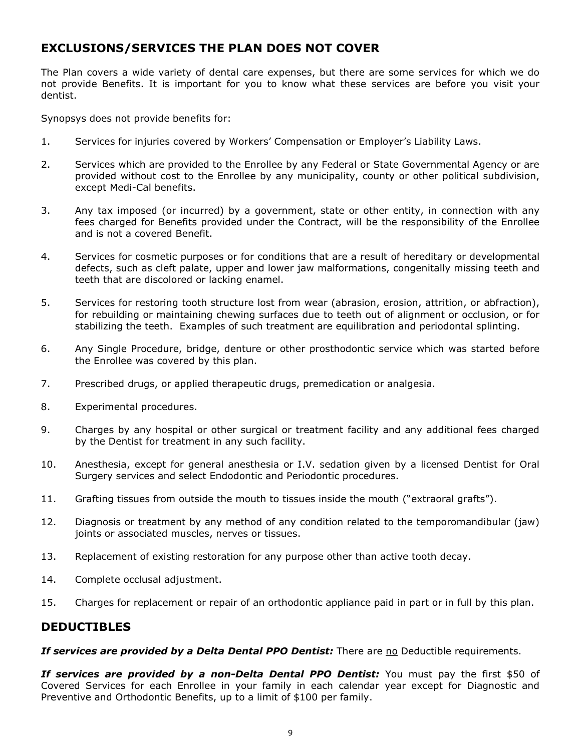# <span id="page-9-0"></span>**EXCLUSIONS/SERVICES THE PLAN DOES NOT COVER**

The Plan covers a wide variety of dental care expenses, but there are some services for which we do not provide Benefits. It is important for you to know what these services are before you visit your dentist.

Synopsys does not provide benefits for:

- 1. Services for injuries covered by Workers' Compensation or Employer's Liability Laws.
- 2. Services which are provided to the Enrollee by any Federal or State Governmental Agency or are provided without cost to the Enrollee by any municipality, county or other political subdivision, except Medi-Cal benefits.
- 3. Any tax imposed (or incurred) by a government, state or other entity, in connection with any fees charged for Benefits provided under the Contract, will be the responsibility of the Enrollee and is not a covered Benefit.
- 4. Services for cosmetic purposes or for conditions that are a result of hereditary or developmental defects, such as cleft palate, upper and lower jaw malformations, congenitally missing teeth and teeth that are discolored or lacking enamel.
- 5. Services for restoring tooth structure lost from wear (abrasion, erosion, attrition, or abfraction), for rebuilding or maintaining chewing surfaces due to teeth out of alignment or occlusion, or for stabilizing the teeth. Examples of such treatment are equilibration and periodontal splinting.
- 6. Any Single Procedure, bridge, denture or other prosthodontic service which was started before the Enrollee was covered by this plan.
- 7. Prescribed drugs, or applied therapeutic drugs, premedication or analgesia.
- 8. Experimental procedures.
- 9. Charges by any hospital or other surgical or treatment facility and any additional fees charged by the Dentist for treatment in any such facility.
- 10. Anesthesia, except for general anesthesia or I.V. sedation given by a licensed Dentist for Oral Surgery services and select Endodontic and Periodontic procedures.
- 11. Grafting tissues from outside the mouth to tissues inside the mouth ("extraoral grafts").
- 12. Diagnosis or treatment by any method of any condition related to the temporomandibular (jaw) joints or associated muscles, nerves or tissues.
- 13. Replacement of existing restoration for any purpose other than active tooth decay.
- 14. Complete occlusal adjustment.
- 15. Charges for replacement or repair of an orthodontic appliance paid in part or in full by this plan.

# <span id="page-9-1"></span>**DEDUCTIBLES**

*If services are provided by a Delta Dental PPO Dentist:* There are no Deductible requirements.

*If services are provided by a non-Delta Dental PPO Dentist:* You must pay the first \$50 of Covered Services for each Enrollee in your family in each calendar year except for Diagnostic and Preventive and Orthodontic Benefits, up to a limit of \$100 per family.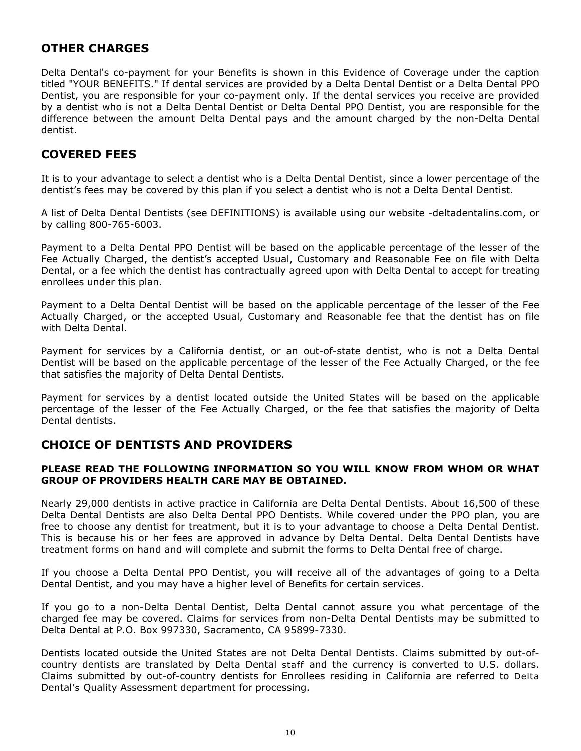# <span id="page-10-0"></span>**OTHER CHARGES**

Delta Dental's co-payment for your Benefits is shown in this Evidence of Coverage under the caption titled "YOUR BENEFITS." If dental services are provided by a Delta Dental Dentist or a Delta Dental PPO Dentist, you are responsible for your co-payment only. If the dental services you receive are provided by a dentist who is not a Delta Dental Dentist or Delta Dental PPO Dentist, you are responsible for the difference between the amount Delta Dental pays and the amount charged by the non-Delta Dental dentist.

# <span id="page-10-1"></span>**COVERED FEES**

It is to your advantage to select a dentist who is a Delta Dental Dentist, since a lower percentage of the dentist's fees may be covered by this plan if you select a dentist who is not a Delta Dental Dentist.

A list of Delta Dental Dentists (see DEFINITIONS) is available using our website -deltadentalins.com, or by calling 800-765-6003.

Payment to a Delta Dental PPO Dentist will be based on the applicable percentage of the lesser of the Fee Actually Charged, the dentist's accepted Usual, Customary and Reasonable Fee on file with Delta Dental, or a fee which the dentist has contractually agreed upon with Delta Dental to accept for treating enrollees under this plan.

Payment to a Delta Dental Dentist will be based on the applicable percentage of the lesser of the Fee Actually Charged, or the accepted Usual, Customary and Reasonable fee that the dentist has on file with Delta Dental.

Payment for services by a California dentist, or an out-of-state dentist, who is not a Delta Dental Dentist will be based on the applicable percentage of the lesser of the Fee Actually Charged, or the fee that satisfies the majority of Delta Dental Dentists.

Payment for services by a dentist located outside the United States will be based on the applicable percentage of the lesser of the Fee Actually Charged, or the fee that satisfies the majority of Delta Dental dentists.

# <span id="page-10-2"></span>**CHOICE OF DENTISTS AND PROVIDERS**

### **PLEASE READ THE FOLLOWING INFORMATION SO YOU WILL KNOW FROM WHOM OR WHAT GROUP OF PROVIDERS HEALTH CARE MAY BE OBTAINED.**

Nearly 29,000 dentists in active practice in California are Delta Dental Dentists. About 16,500 of these Delta Dental Dentists are also Delta Dental PPO Dentists. While covered under the PPO plan, you are free to choose any dentist for treatment, but it is to your advantage to choose a Delta Dental Dentist. This is because his or her fees are approved in advance by Delta Dental. Delta Dental Dentists have treatment forms on hand and will complete and submit the forms to Delta Dental free of charge.

If you choose a Delta Dental PPO Dentist, you will receive all of the advantages of going to a Delta Dental Dentist, and you may have a higher level of Benefits for certain services.

If you go to a non-Delta Dental Dentist, Delta Dental cannot assure you what percentage of the charged fee may be covered. Claims for services from non-Delta Dental Dentists may be submitted to Delta Dental at P.O. Box 997330, Sacramento, CA 95899-7330.

Dentists located outside the United States are not Delta Dental Dentists. Claims submitted by out-ofcountry dentists are translated by Delta Dental staff and the currency is converted to U.S. dollars. Claims submitted by out-of-country dentists for Enrollees residing in California are referred to Delta Dental's Quality Assessment department for processing.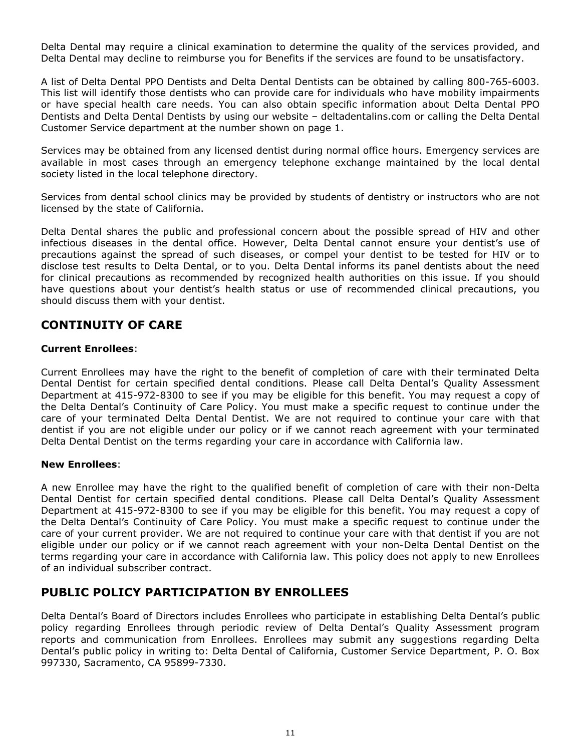Delta Dental may require a clinical examination to determine the quality of the services provided, and Delta Dental may decline to reimburse you for Benefits if the services are found to be unsatisfactory.

A list of Delta Dental PPO Dentists and Delta Dental Dentists can be obtained by calling 800-765-6003. This list will identify those dentists who can provide care for individuals who have mobility impairments or have special health care needs. You can also obtain specific information about Delta Dental PPO Dentists and Delta Dental Dentists by using our website – deltadentalins.com or calling the Delta Dental Customer Service department at the number shown on page 1.

Services may be obtained from any licensed dentist during normal office hours. Emergency services are available in most cases through an emergency telephone exchange maintained by the local dental society listed in the local telephone directory.

Services from dental school clinics may be provided by students of dentistry or instructors who are not licensed by the state of California.

Delta Dental shares the public and professional concern about the possible spread of HIV and other infectious diseases in the dental office. However, Delta Dental cannot ensure your dentist's use of precautions against the spread of such diseases, or compel your dentist to be tested for HIV or to disclose test results to Delta Dental, or to you. Delta Dental informs its panel dentists about the need for clinical precautions as recommended by recognized health authorities on this issue. If you should have questions about your dentist's health status or use of recommended clinical precautions, you should discuss them with your dentist.

# <span id="page-11-0"></span>**CONTINUITY OF CARE**

### **Current Enrollees**:

Current Enrollees may have the right to the benefit of completion of care with their terminated Delta Dental Dentist for certain specified dental conditions. Please call Delta Dental's Quality Assessment Department at 415-972-8300 to see if you may be eligible for this benefit. You may request a copy of the Delta Dental's Continuity of Care Policy. You must make a specific request to continue under the care of your terminated Delta Dental Dentist. We are not required to continue your care with that dentist if you are not eligible under our policy or if we cannot reach agreement with your terminated Delta Dental Dentist on the terms regarding your care in accordance with California law.

### **New Enrollees**:

A new Enrollee may have the right to the qualified benefit of completion of care with their non-Delta Dental Dentist for certain specified dental conditions. Please call Delta Dental's Quality Assessment Department at 415-972-8300 to see if you may be eligible for this benefit. You may request a copy of the Delta Dental's Continuity of Care Policy. You must make a specific request to continue under the care of your current provider. We are not required to continue your care with that dentist if you are not eligible under our policy or if we cannot reach agreement with your non-Delta Dental Dentist on the terms regarding your care in accordance with California law. This policy does not apply to new Enrollees of an individual subscriber contract.

# <span id="page-11-1"></span>**PUBLIC POLICY PARTICIPATION BY ENROLLEES**

Delta Dental's Board of Directors includes Enrollees who participate in establishing Delta Dental's public policy regarding Enrollees through periodic review of Delta Dental's Quality Assessment program reports and communication from Enrollees. Enrollees may submit any suggestions regarding Delta Dental's public policy in writing to: Delta Dental of California, Customer Service Department, P. O. Box 997330, Sacramento, CA 95899-7330.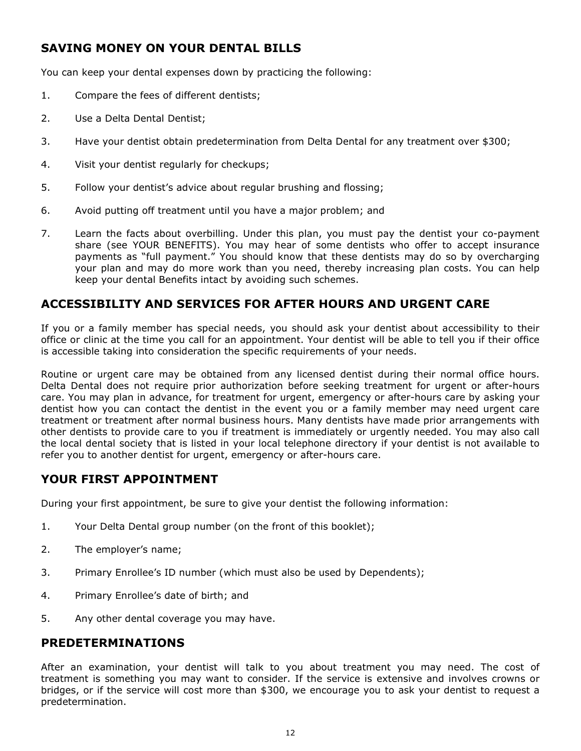# <span id="page-12-0"></span>**SAVING MONEY ON YOUR DENTAL BILLS**

You can keep your dental expenses down by practicing the following:

- 1. Compare the fees of different dentists;
- 2. Use a Delta Dental Dentist;
- 3. Have your dentist obtain predetermination from Delta Dental for any treatment over \$300;
- 4. Visit your dentist regularly for checkups;
- 5. Follow your dentist's advice about regular brushing and flossing;
- 6. Avoid putting off treatment until you have a major problem; and
- 7. Learn the facts about overbilling. Under this plan, you must pay the dentist your co-payment share (see YOUR BENEFITS). You may hear of some dentists who offer to accept insurance payments as "full payment." You should know that these dentists may do so by overcharging your plan and may do more work than you need, thereby increasing plan costs. You can help keep your dental Benefits intact by avoiding such schemes.

# <span id="page-12-1"></span>**ACCESSIBILITY AND SERVICES FOR AFTER HOURS AND URGENT CARE**

If you or a family member has special needs, you should ask your dentist about accessibility to their office or clinic at the time you call for an appointment. Your dentist will be able to tell you if their office is accessible taking into consideration the specific requirements of your needs.

Routine or urgent care may be obtained from any licensed dentist during their normal office hours. Delta Dental does not require prior authorization before seeking treatment for urgent or after-hours care. You may plan in advance, for treatment for urgent, emergency or after-hours care by asking your dentist how you can contact the dentist in the event you or a family member may need urgent care treatment or treatment after normal business hours. Many dentists have made prior arrangements with other dentists to provide care to you if treatment is immediately or urgently needed. You may also call the local dental society that is listed in your local telephone directory if your dentist is not available to refer you to another dentist for urgent, emergency or after-hours care.

# <span id="page-12-2"></span>**YOUR FIRST APPOINTMENT**

During your first appointment, be sure to give your dentist the following information:

- 1. Your Delta Dental group number (on the front of this booklet);
- 2. The employer's name;
- 3. Primary Enrollee's ID number (which must also be used by Dependents);
- 4. Primary Enrollee's date of birth; and
- 5. Any other dental coverage you may have.

# <span id="page-12-3"></span>**PREDETERMINATIONS**

After an examination, your dentist will talk to you about treatment you may need. The cost of treatment is something you may want to consider. If the service is extensive and involves crowns or bridges, or if the service will cost more than \$300, we encourage you to ask your dentist to request a predetermination.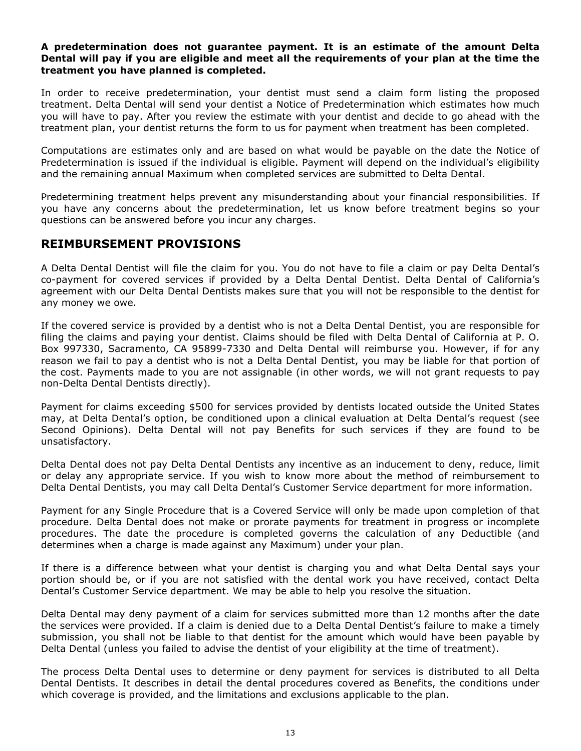### **A predetermination does not guarantee payment. It is an estimate of the amount Delta Dental will pay if you are eligible and meet all the requirements of your plan at the time the treatment you have planned is completed.**

In order to receive predetermination, your dentist must send a claim form listing the proposed treatment. Delta Dental will send your dentist a Notice of Predetermination which estimates how much you will have to pay. After you review the estimate with your dentist and decide to go ahead with the treatment plan, your dentist returns the form to us for payment when treatment has been completed.

Computations are estimates only and are based on what would be payable on the date the Notice of Predetermination is issued if the individual is eligible. Payment will depend on the individual's eligibility and the remaining annual Maximum when completed services are submitted to Delta Dental.

Predetermining treatment helps prevent any misunderstanding about your financial responsibilities. If you have any concerns about the predetermination, let us know before treatment begins so your questions can be answered before you incur any charges.

# <span id="page-13-0"></span>**REIMBURSEMENT PROVISIONS**

A Delta Dental Dentist will file the claim for you. You do not have to file a claim or pay Delta Dental's co-payment for covered services if provided by a Delta Dental Dentist. Delta Dental of California's agreement with our Delta Dental Dentists makes sure that you will not be responsible to the dentist for any money we owe.

If the covered service is provided by a dentist who is not a Delta Dental Dentist, you are responsible for filing the claims and paying your dentist. Claims should be filed with Delta Dental of California at P. O. Box 997330, Sacramento, CA 95899-7330 and Delta Dental will reimburse you. However, if for any reason we fail to pay a dentist who is not a Delta Dental Dentist, you may be liable for that portion of the cost. Payments made to you are not assignable (in other words, we will not grant requests to pay non-Delta Dental Dentists directly).

Payment for claims exceeding \$500 for services provided by dentists located outside the United States may, at Delta Dental's option, be conditioned upon a clinical evaluation at Delta Dental's request (see Second Opinions). Delta Dental will not pay Benefits for such services if they are found to be unsatisfactory.

Delta Dental does not pay Delta Dental Dentists any incentive as an inducement to deny, reduce, limit or delay any appropriate service. If you wish to know more about the method of reimbursement to Delta Dental Dentists, you may call Delta Dental's Customer Service department for more information.

Payment for any Single Procedure that is a Covered Service will only be made upon completion of that procedure. Delta Dental does not make or prorate payments for treatment in progress or incomplete procedures. The date the procedure is completed governs the calculation of any Deductible (and determines when a charge is made against any Maximum) under your plan.

If there is a difference between what your dentist is charging you and what Delta Dental says your portion should be, or if you are not satisfied with the dental work you have received, contact Delta Dental's Customer Service department. We may be able to help you resolve the situation.

Delta Dental may deny payment of a claim for services submitted more than 12 months after the date the services were provided. If a claim is denied due to a Delta Dental Dentist's failure to make a timely submission, you shall not be liable to that dentist for the amount which would have been payable by Delta Dental (unless you failed to advise the dentist of your eligibility at the time of treatment).

The process Delta Dental uses to determine or deny payment for services is distributed to all Delta Dental Dentists. It describes in detail the dental procedures covered as Benefits, the conditions under which coverage is provided, and the limitations and exclusions applicable to the plan.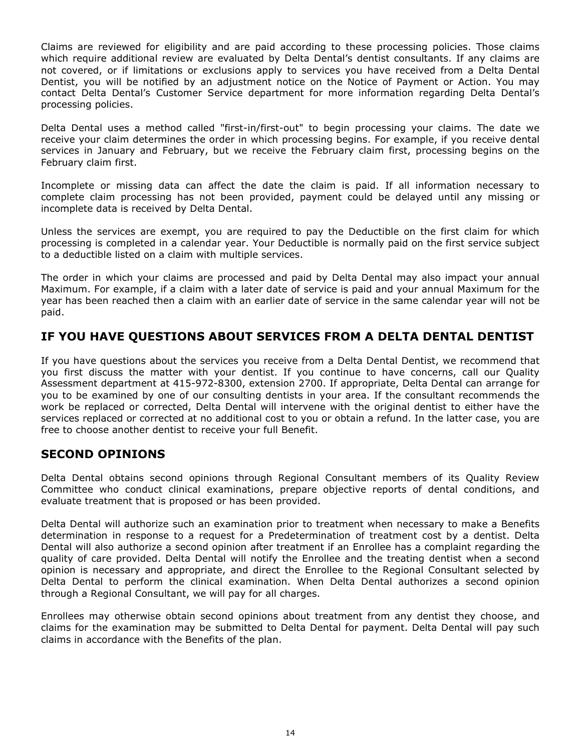Claims are reviewed for eligibility and are paid according to these processing policies. Those claims which require additional review are evaluated by Delta Dental's dentist consultants. If any claims are not covered, or if limitations or exclusions apply to services you have received from a Delta Dental Dentist, you will be notified by an adjustment notice on the Notice of Payment or Action. You may contact Delta Dental's Customer Service department for more information regarding Delta Dental's processing policies.

Delta Dental uses a method called "first-in/first-out" to begin processing your claims. The date we receive your claim determines the order in which processing begins. For example, if you receive dental services in January and February, but we receive the February claim first, processing begins on the February claim first.

Incomplete or missing data can affect the date the claim is paid. If all information necessary to complete claim processing has not been provided, payment could be delayed until any missing or incomplete data is received by Delta Dental.

Unless the services are exempt, you are required to pay the Deductible on the first claim for which processing is completed in a calendar year. Your Deductible is normally paid on the first service subject to a deductible listed on a claim with multiple services.

The order in which your claims are processed and paid by Delta Dental may also impact your annual Maximum. For example, if a claim with a later date of service is paid and your annual Maximum for the year has been reached then a claim with an earlier date of service in the same calendar year will not be paid.

# <span id="page-14-0"></span>**IF YOU HAVE QUESTIONS ABOUT SERVICES FROM A DELTA DENTAL DENTIST**

If you have questions about the services you receive from a Delta Dental Dentist, we recommend that you first discuss the matter with your dentist. If you continue to have concerns, call our Quality Assessment department at 415-972-8300, extension 2700. If appropriate, Delta Dental can arrange for you to be examined by one of our consulting dentists in your area. If the consultant recommends the work be replaced or corrected, Delta Dental will intervene with the original dentist to either have the services replaced or corrected at no additional cost to you or obtain a refund. In the latter case, you are free to choose another dentist to receive your full Benefit.

# <span id="page-14-1"></span>**SECOND OPINIONS**

Delta Dental obtains second opinions through Regional Consultant members of its Quality Review Committee who conduct clinical examinations, prepare objective reports of dental conditions, and evaluate treatment that is proposed or has been provided.

Delta Dental will authorize such an examination prior to treatment when necessary to make a Benefits determination in response to a request for a Predetermination of treatment cost by a dentist. Delta Dental will also authorize a second opinion after treatment if an Enrollee has a complaint regarding the quality of care provided. Delta Dental will notify the Enrollee and the treating dentist when a second opinion is necessary and appropriate, and direct the Enrollee to the Regional Consultant selected by Delta Dental to perform the clinical examination. When Delta Dental authorizes a second opinion through a Regional Consultant, we will pay for all charges.

Enrollees may otherwise obtain second opinions about treatment from any dentist they choose, and claims for the examination may be submitted to Delta Dental for payment. Delta Dental will pay such claims in accordance with the Benefits of the plan.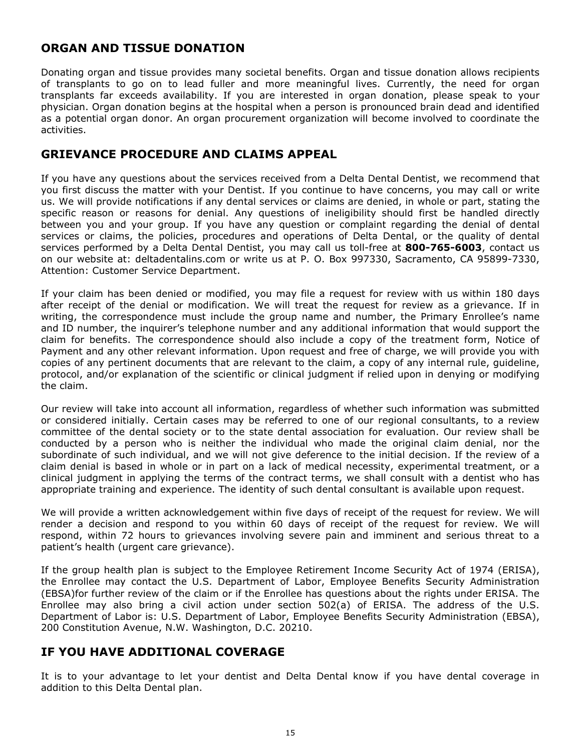# <span id="page-15-0"></span>**ORGAN AND TISSUE DONATION**

Donating organ and tissue provides many societal benefits. Organ and tissue donation allows recipients of transplants to go on to lead fuller and more meaningful lives. Currently, the need for organ transplants far exceeds availability. If you are interested in organ donation, please speak to your physician. Organ donation begins at the hospital when a person is pronounced brain dead and identified as a potential organ donor. An organ procurement organization will become involved to coordinate the activities.

# <span id="page-15-1"></span>**GRIEVANCE PROCEDURE AND CLAIMS APPEAL**

If you have any questions about the services received from a Delta Dental Dentist, we recommend that you first discuss the matter with your Dentist. If you continue to have concerns, you may call or write us. We will provide notifications if any dental services or claims are denied, in whole or part, stating the specific reason or reasons for denial. Any questions of ineligibility should first be handled directly between you and your group. If you have any question or complaint regarding the denial of dental services or claims, the policies, procedures and operations of Delta Dental, or the quality of dental services performed by a Delta Dental Dentist, you may call us toll-free at **800-765-6003**, contact us on our website at: deltadentalins.com or write us at P. O. Box 997330, Sacramento, CA 95899-7330, Attention: Customer Service Department.

If your claim has been denied or modified, you may file a request for review with us within 180 days after receipt of the denial or modification. We will treat the request for review as a grievance. If in writing, the correspondence must include the group name and number, the Primary Enrollee's name and ID number, the inquirer's telephone number and any additional information that would support the claim for benefits. The correspondence should also include a copy of the treatment form, Notice of Payment and any other relevant information. Upon request and free of charge, we will provide you with copies of any pertinent documents that are relevant to the claim, a copy of any internal rule, guideline, protocol, and/or explanation of the scientific or clinical judgment if relied upon in denying or modifying the claim.

Our review will take into account all information, regardless of whether such information was submitted or considered initially. Certain cases may be referred to one of our regional consultants, to a review committee of the dental society or to the state dental association for evaluation. Our review shall be conducted by a person who is neither the individual who made the original claim denial, nor the subordinate of such individual, and we will not give deference to the initial decision. If the review of a claim denial is based in whole or in part on a lack of medical necessity, experimental treatment, or a clinical judgment in applying the terms of the contract terms, we shall consult with a dentist who has appropriate training and experience. The identity of such dental consultant is available upon request.

We will provide a written acknowledgement within five days of receipt of the request for review. We will render a decision and respond to you within 60 days of receipt of the request for review. We will respond, within 72 hours to grievances involving severe pain and imminent and serious threat to a patient's health (urgent care grievance).

If the group health plan is subject to the Employee Retirement Income Security Act of 1974 (ERISA), the Enrollee may contact the U.S. Department of Labor, Employee Benefits Security Administration (EBSA)for further review of the claim or if the Enrollee has questions about the rights under ERISA. The Enrollee may also bring a civil action under section 502(a) of ERISA. The address of the U.S. Department of Labor is: U.S. Department of Labor, Employee Benefits Security Administration (EBSA), 200 Constitution Avenue, N.W. Washington, D.C. 20210.

# <span id="page-15-2"></span>**IF YOU HAVE ADDITIONAL COVERAGE**

It is to your advantage to let your dentist and Delta Dental know if you have dental coverage in addition to this Delta Dental plan.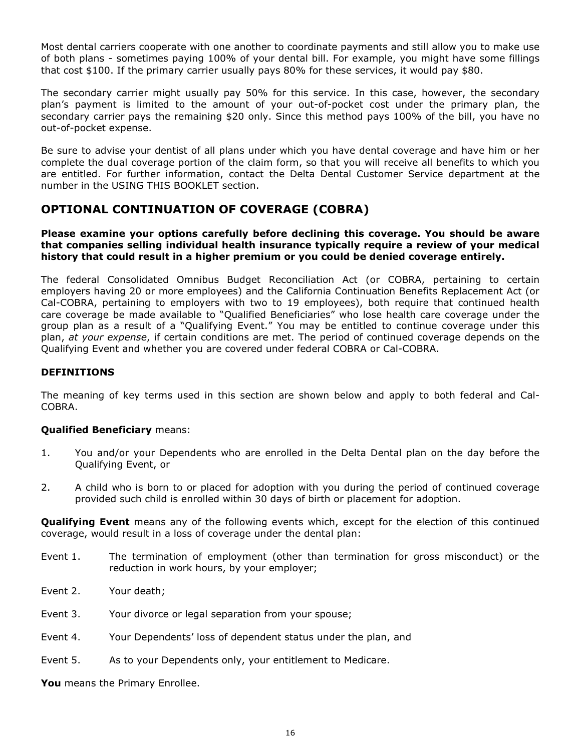Most dental carriers cooperate with one another to coordinate payments and still allow you to make use of both plans - sometimes paying 100% of your dental bill. For example, you might have some fillings that cost \$100. If the primary carrier usually pays 80% for these services, it would pay \$80.

The secondary carrier might usually pay 50% for this service. In this case, however, the secondary plan's payment is limited to the amount of your out-of-pocket cost under the primary plan, the secondary carrier pays the remaining \$20 only. Since this method pays 100% of the bill, you have no out-of-pocket expense.

Be sure to advise your dentist of all plans under which you have dental coverage and have him or her complete the dual coverage portion of the claim form, so that you will receive all benefits to which you are entitled. For further information, contact the Delta Dental Customer Service department at the number in the USING THIS BOOKLET section.

# <span id="page-16-0"></span>**OPTIONAL CONTINUATION OF COVERAGE (COBRA)**

### **Please examine your options carefully before declining this coverage. You should be aware that companies selling individual health insurance typically require a review of your medical history that could result in a higher premium or you could be denied coverage entirely.**

The federal Consolidated Omnibus Budget Reconciliation Act (or COBRA, pertaining to certain employers having 20 or more employees) and the California Continuation Benefits Replacement Act (or Cal-COBRA, pertaining to employers with two to 19 employees), both require that continued health care coverage be made available to "Qualified Beneficiaries" who lose health care coverage under the group plan as a result of a "Qualifying Event." You may be entitled to continue coverage under this plan, *at your expense*, if certain conditions are met. The period of continued coverage depends on the Qualifying Event and whether you are covered under federal COBRA or Cal-COBRA.

### **DEFINITIONS**

The meaning of key terms used in this section are shown below and apply to both federal and Cal-COBRA.

### **Qualified Beneficiary** means:

- 1. You and/or your Dependents who are enrolled in the Delta Dental plan on the day before the Qualifying Event, or
- 2. A child who is born to or placed for adoption with you during the period of continued coverage provided such child is enrolled within 30 days of birth or placement for adoption.

**Qualifying Event** means any of the following events which, except for the election of this continued coverage, would result in a loss of coverage under the dental plan:

- Event 1. The termination of employment (other than termination for gross misconduct) or the reduction in work hours, by your employer;
- Event 2. Your death;
- Event 3. Your divorce or legal separation from your spouse;
- Event 4. Your Dependents' loss of dependent status under the plan, and
- Event 5. As to your Dependents only, your entitlement to Medicare.

**You** means the Primary Enrollee.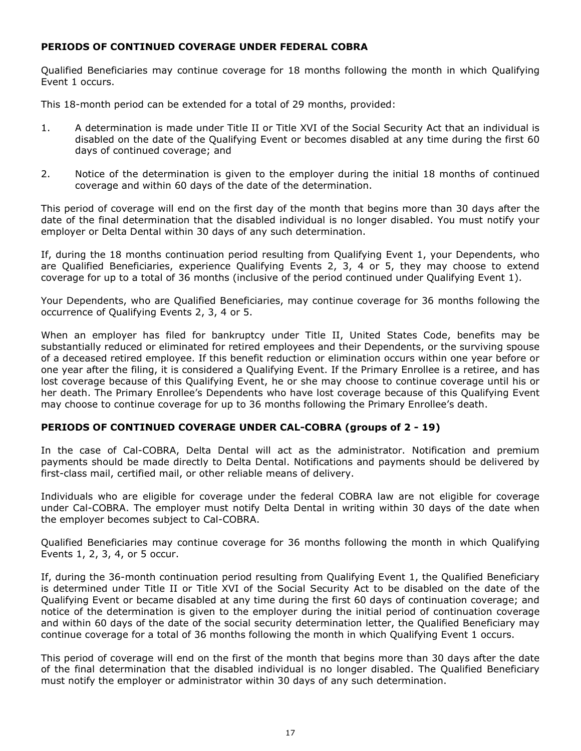### **PERIODS OF CONTINUED COVERAGE UNDER FEDERAL COBRA**

Qualified Beneficiaries may continue coverage for 18 months following the month in which Qualifying Event 1 occurs.

This 18-month period can be extended for a total of 29 months, provided:

- 1. A determination is made under Title II or Title XVI of the Social Security Act that an individual is disabled on the date of the Qualifying Event or becomes disabled at any time during the first 60 days of continued coverage; and
- 2. Notice of the determination is given to the employer during the initial 18 months of continued coverage and within 60 days of the date of the determination.

This period of coverage will end on the first day of the month that begins more than 30 days after the date of the final determination that the disabled individual is no longer disabled. You must notify your employer or Delta Dental within 30 days of any such determination.

If, during the 18 months continuation period resulting from Qualifying Event 1, your Dependents, who are Qualified Beneficiaries, experience Qualifying Events 2, 3, 4 or 5, they may choose to extend coverage for up to a total of 36 months (inclusive of the period continued under Qualifying Event 1).

Your Dependents, who are Qualified Beneficiaries, may continue coverage for 36 months following the occurrence of Qualifying Events 2, 3, 4 or 5.

When an employer has filed for bankruptcy under Title II, United States Code, benefits may be substantially reduced or eliminated for retired employees and their Dependents, or the surviving spouse of a deceased retired employee. If this benefit reduction or elimination occurs within one year before or one year after the filing, it is considered a Qualifying Event. If the Primary Enrollee is a retiree, and has lost coverage because of this Qualifying Event, he or she may choose to continue coverage until his or her death. The Primary Enrollee's Dependents who have lost coverage because of this Qualifying Event may choose to continue coverage for up to 36 months following the Primary Enrollee's death.

### **PERIODS OF CONTINUED COVERAGE UNDER CAL-COBRA (groups of 2 - 19)**

In the case of Cal-COBRA, Delta Dental will act as the administrator. Notification and premium payments should be made directly to Delta Dental. Notifications and payments should be delivered by first-class mail, certified mail, or other reliable means of delivery.

Individuals who are eligible for coverage under the federal COBRA law are not eligible for coverage under Cal-COBRA. The employer must notify Delta Dental in writing within 30 days of the date when the employer becomes subject to Cal-COBRA.

Qualified Beneficiaries may continue coverage for 36 months following the month in which Qualifying Events 1, 2, 3, 4, or 5 occur.

If, during the 36-month continuation period resulting from Qualifying Event 1, the Qualified Beneficiary is determined under Title II or Title XVI of the Social Security Act to be disabled on the date of the Qualifying Event or became disabled at any time during the first 60 days of continuation coverage; and notice of the determination is given to the employer during the initial period of continuation coverage and within 60 days of the date of the social security determination letter, the Qualified Beneficiary may continue coverage for a total of 36 months following the month in which Qualifying Event 1 occurs.

This period of coverage will end on the first of the month that begins more than 30 days after the date of the final determination that the disabled individual is no longer disabled. The Qualified Beneficiary must notify the employer or administrator within 30 days of any such determination.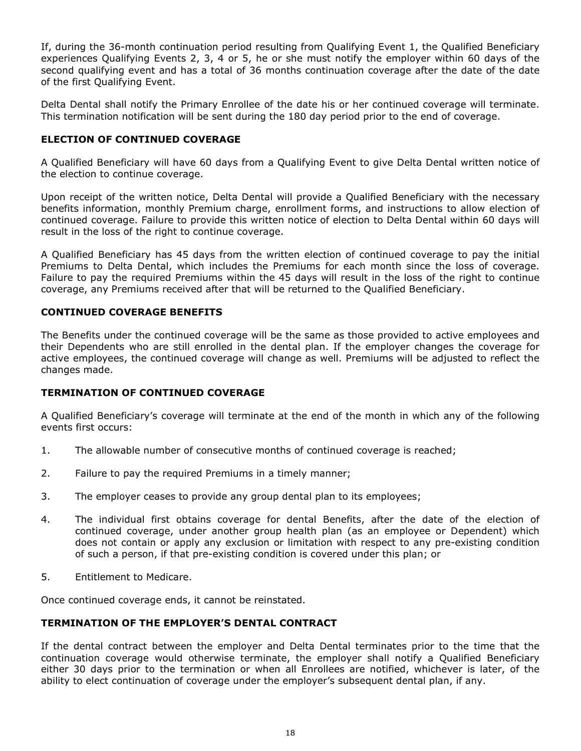If, during the 36-month continuation period resulting from Qualifying Event 1, the Qualified Beneficiary experiences Qualifying Events 2, 3, 4 or 5, he or she must notify the employer within 60 days of the second qualifying event and has a total of 36 months continuation coverage after the date of the date of the first Qualifying Event.

Delta Dental shall notify the Primary Enrollee of the date his or her continued coverage will terminate. This termination notification will be sent during the 180 day period prior to the end of coverage.

### **ELECTION OF CONTINUED COVERAGE**

A Qualified Beneficiary will have 60 days from a Qualifying Event to give Delta Dental written notice of the election to continue coverage.

Upon receipt of the written notice, Delta Dental will provide a Qualified Beneficiary with the necessary benefits information, monthly Premium charge, enrollment forms, and instructions to allow election of continued coverage. Failure to provide this written notice of election to Delta Dental within 60 days will result in the loss of the right to continue coverage.

A Qualified Beneficiary has 45 days from the written election of continued coverage to pay the initial Premiums to Delta Dental, which includes the Premiums for each month since the loss of coverage. Failure to pay the required Premiums within the 45 days will result in the loss of the right to continue coverage, any Premiums received after that will be returned to the Qualified Beneficiary.

### **CONTINUED COVERAGE BENEFITS**

The Benefits under the continued coverage will be the same as those provided to active employees and their Dependents who are still enrolled in the dental plan. If the employer changes the coverage for active employees, the continued coverage will change as well. Premiums will be adjusted to reflect the changes made.

### **TERMINATION OF CONTINUED COVERAGE**

A Qualified Beneficiary's coverage will terminate at the end of the month in which any of the following events first occurs:

- 1. The allowable number of consecutive months of continued coverage is reached;
- 2. Failure to pay the required Premiums in a timely manner;
- 3. The employer ceases to provide any group dental plan to its employees;
- 4. The individual first obtains coverage for dental Benefits, after the date of the election of continued coverage, under another group health plan (as an employee or Dependent) which does not contain or apply any exclusion or limitation with respect to any pre-existing condition of such a person, if that pre-existing condition is covered under this plan; or
- 5. Entitlement to Medicare.

Once continued coverage ends, it cannot be reinstated.

### **TERMINATION OF THE EMPLOYER'S DENTAL CONTRACT**

If the dental contract between the employer and Delta Dental terminates prior to the time that the continuation coverage would otherwise terminate, the employer shall notify a Qualified Beneficiary either 30 days prior to the termination or when all Enrollees are notified, whichever is later, of the ability to elect continuation of coverage under the employer's subsequent dental plan, if any.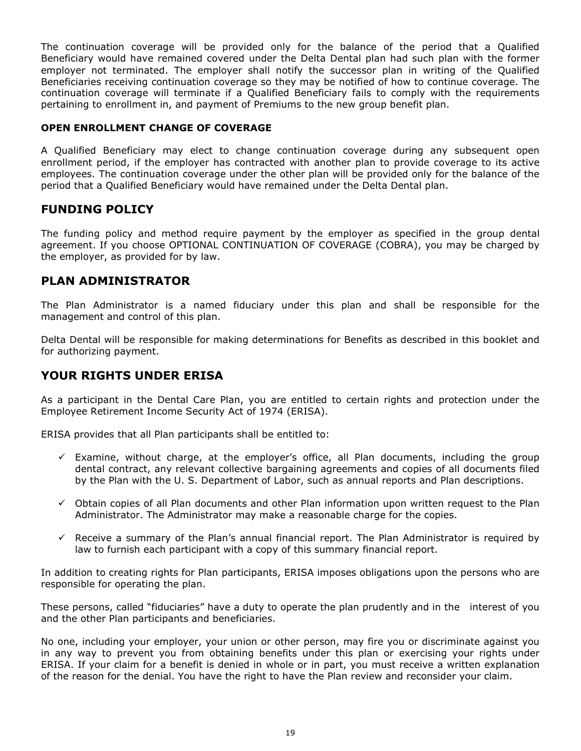The continuation coverage will be provided only for the balance of the period that a Qualified Beneficiary would have remained covered under the Delta Dental plan had such plan with the former employer not terminated. The employer shall notify the successor plan in writing of the Qualified Beneficiaries receiving continuation coverage so they may be notified of how to continue coverage. The continuation coverage will terminate if a Qualified Beneficiary fails to comply with the requirements pertaining to enrollment in, and payment of Premiums to the new group benefit plan.

### **OPEN ENROLLMENT CHANGE OF COVERAGE**

A Qualified Beneficiary may elect to change continuation coverage during any subsequent open enrollment period, if the employer has contracted with another plan to provide coverage to its active employees. The continuation coverage under the other plan will be provided only for the balance of the period that a Qualified Beneficiary would have remained under the Delta Dental plan.

# <span id="page-19-0"></span>**FUNDING POLICY**

The funding policy and method require payment by the employer as specified in the group dental agreement. If you choose OPTIONAL CONTINUATION OF COVERAGE (COBRA), you may be charged by the employer, as provided for by law.

# <span id="page-19-1"></span>**PLAN ADMINISTRATOR**

The Plan Administrator is a named fiduciary under this plan and shall be responsible for the management and control of this plan.

Delta Dental will be responsible for making determinations for Benefits as described in this booklet and for authorizing payment.

# <span id="page-19-2"></span>**YOUR RIGHTS UNDER ERISA**

As a participant in the Dental Care Plan, you are entitled to certain rights and protection under the Employee Retirement Income Security Act of 1974 (ERISA).

ERISA provides that all Plan participants shall be entitled to:

- $\checkmark$  Examine, without charge, at the employer's office, all Plan documents, including the group dental contract, any relevant collective bargaining agreements and copies of all documents filed by the Plan with the U. S. Department of Labor, such as annual reports and Plan descriptions.
- $\checkmark$  Obtain copies of all Plan documents and other Plan information upon written request to the Plan Administrator. The Administrator may make a reasonable charge for the copies.
- $\checkmark$  Receive a summary of the Plan's annual financial report. The Plan Administrator is required by law to furnish each participant with a copy of this summary financial report.

In addition to creating rights for Plan participants, ERISA imposes obligations upon the persons who are responsible for operating the plan.

These persons, called "fiduciaries" have a duty to operate the plan prudently and in the interest of you and the other Plan participants and beneficiaries.

No one, including your employer, your union or other person, may fire you or discriminate against you in any way to prevent you from obtaining benefits under this plan or exercising your rights under ERISA. If your claim for a benefit is denied in whole or in part, you must receive a written explanation of the reason for the denial. You have the right to have the Plan review and reconsider your claim.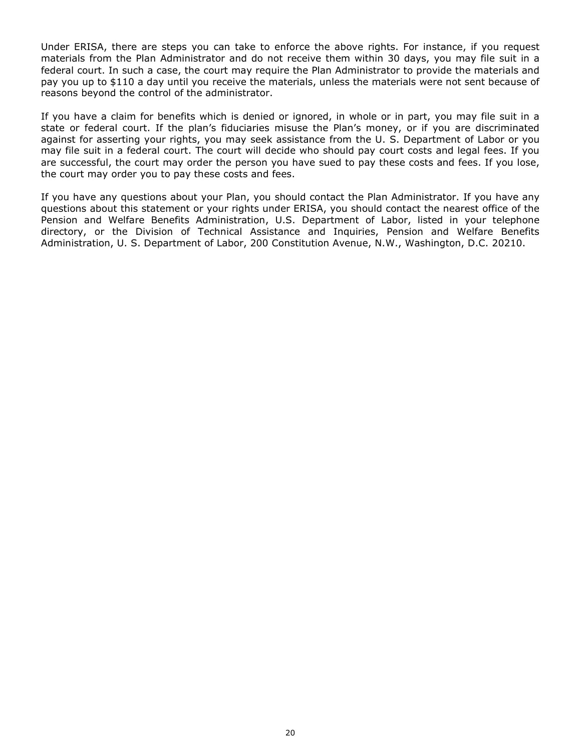Under ERISA, there are steps you can take to enforce the above rights. For instance, if you request materials from the Plan Administrator and do not receive them within 30 days, you may file suit in a federal court. In such a case, the court may require the Plan Administrator to provide the materials and pay you up to \$110 a day until you receive the materials, unless the materials were not sent because of reasons beyond the control of the administrator.

If you have a claim for benefits which is denied or ignored, in whole or in part, you may file suit in a state or federal court. If the plan's fiduciaries misuse the Plan's money, or if you are discriminated against for asserting your rights, you may seek assistance from the U. S. Department of Labor or you may file suit in a federal court. The court will decide who should pay court costs and legal fees. If you are successful, the court may order the person you have sued to pay these costs and fees. If you lose, the court may order you to pay these costs and fees.

If you have any questions about your Plan, you should contact the Plan Administrator. If you have any questions about this statement or your rights under ERISA, you should contact the nearest office of the Pension and Welfare Benefits Administration, U.S. Department of Labor, listed in your telephone directory, or the Division of Technical Assistance and Inquiries, Pension and Welfare Benefits Administration, U. S. Department of Labor, 200 Constitution Avenue, N.W., Washington, D.C. 20210.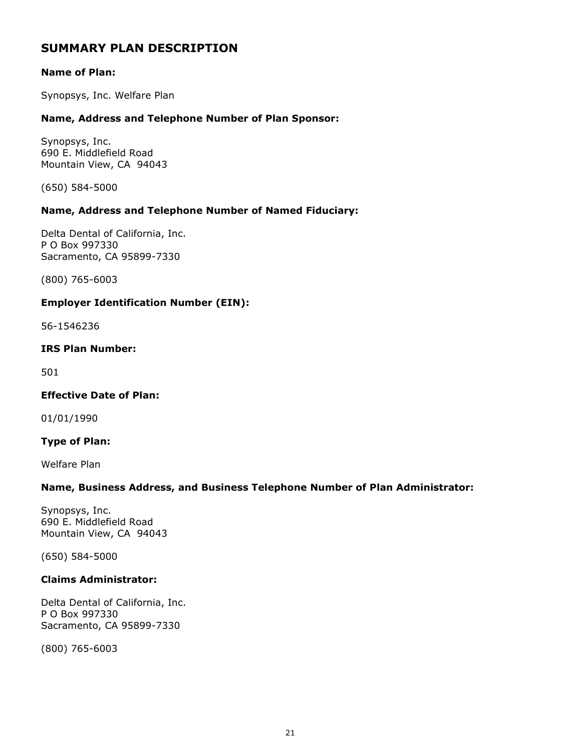# <span id="page-21-0"></span>**SUMMARY PLAN DESCRIPTION**

### **Name of Plan:**

Synopsys, Inc. Welfare Plan

### **Name, Address and Telephone Number of Plan Sponsor:**

Synopsys, Inc. 690 E. Middlefield Road Mountain View, CA 94043

(650) 584-5000

### **Name, Address and Telephone Number of Named Fiduciary:**

Delta Dental of California, Inc. P O Box 997330 Sacramento, CA 95899-7330

(800) 765-6003

### **Employer Identification Number (EIN):**

56-1546236

### **IRS Plan Number:**

501

### **Effective Date of Plan:**

01/01/1990

### **Type of Plan:**

Welfare Plan

### **Name, Business Address, and Business Telephone Number of Plan Administrator:**

Synopsys, Inc. 690 E. Middlefield Road Mountain View, CA 94043

(650) 584-5000

### **Claims Administrator:**

Delta Dental of California, Inc. P O Box 997330 Sacramento, CA 95899-7330

(800) 765-6003